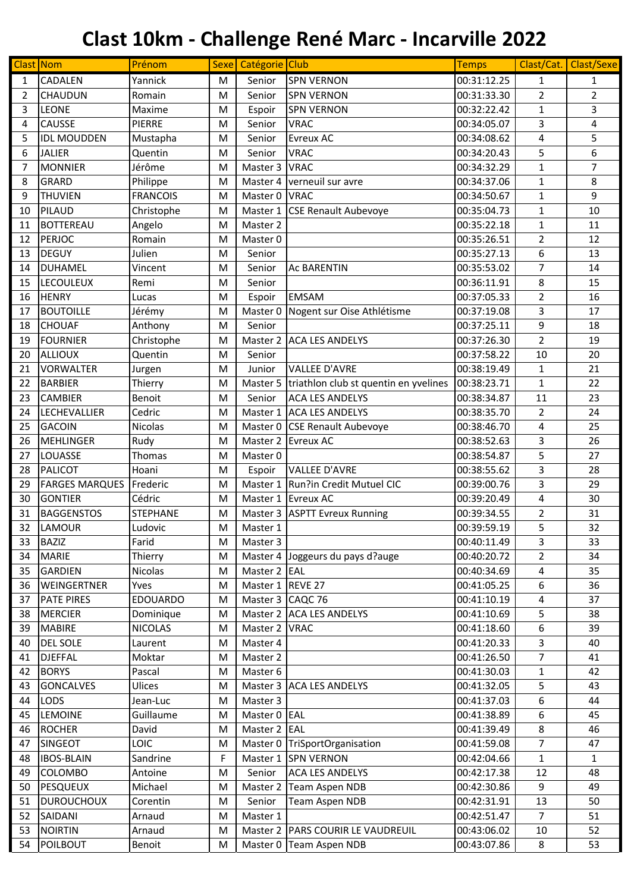| Clast Nom      |                       | Prénom          |   | Sexe Catégorie Club |                                       | <b>Temps</b> | Clast/Cat.     | Clast/Sexe     |
|----------------|-----------------------|-----------------|---|---------------------|---------------------------------------|--------------|----------------|----------------|
| 1              | CADALEN               | Yannick         | M | Senior              | <b>SPN VERNON</b>                     | 00:31:12.25  | $\mathbf{1}$   | $\mathbf{1}$   |
| 2              | <b>CHAUDUN</b>        | Romain          | M | Senior              | <b>SPN VERNON</b>                     | 00:31:33.30  | $\overline{2}$ | $\overline{2}$ |
| 3              | <b>LEONE</b>          | Maxime          | M | Espoir              | <b>SPN VERNON</b>                     | 00:32:22.42  | 1              | 3              |
| 4              | CAUSSE                | <b>PIERRE</b>   | M | Senior              | <b>VRAC</b>                           | 00:34:05.07  | 3              | 4              |
| 5              | <b>IDL MOUDDEN</b>    | Mustapha        | M | Senior              | Evreux AC                             | 00:34:08.62  | 4              | 5              |
| 6              | <b>JALIER</b>         | Quentin         | M | Senior              | <b>VRAC</b>                           | 00:34:20.43  | 5              | 6              |
| $\overline{7}$ | <b>MONNIER</b>        | Jérôme          | M | Master 3            | <b>VRAC</b>                           | 00:34:32.29  | 1              | $\overline{7}$ |
| 8              | GRARD                 | Philippe        | M | Master 4            | verneuil sur avre                     | 00:34:37.06  | $\mathbf{1}$   | 8              |
| 9              | <b>THUVIEN</b>        | <b>FRANCOIS</b> | M | Master 0            | <b>VRAC</b>                           | 00:34:50.67  | 1              | 9              |
| 10             | PILAUD                | Christophe      | M | Master 1            | <b>CSE Renault Aubevoye</b>           | 00:35:04.73  | $\mathbf{1}$   | 10             |
| 11             | <b>BOTTEREAU</b>      | Angelo          | M | Master 2            |                                       | 00:35:22.18  | 1              | 11             |
| 12             | PERJOC                | Romain          | M | Master 0            |                                       | 00:35:26.51  | $\overline{2}$ | 12             |
| 13             | <b>DEGUY</b>          | Julien          | M | Senior              |                                       | 00:35:27.13  | 6              | 13             |
| 14             | <b>DUHAMEL</b>        | Vincent         | M | Senior              | <b>Ac BARENTIN</b>                    | 00:35:53.02  | $\overline{7}$ | 14             |
| 15             | <b>LECOULEUX</b>      | Remi            | M | Senior              |                                       | 00:36:11.91  | 8              | 15             |
| 16             | <b>HENRY</b>          | Lucas           | M | Espoir              | <b>EMSAM</b>                          | 00:37:05.33  | $\overline{2}$ | 16             |
| 17             | <b>BOUTOILLE</b>      | Jérémy          | M | Master 0            | Nogent sur Oise Athlétisme            | 00:37:19.08  | 3              | 17             |
| 18             | <b>CHOUAF</b>         | Anthony         | M | Senior              |                                       | 00:37:25.11  | 9              | 18             |
| 19             | <b>FOURNIER</b>       | Christophe      | M | Master 2            | <b>ACA LES ANDELYS</b>                | 00:37:26.30  | $\overline{2}$ | 19             |
| 20             | <b>ALLIOUX</b>        | Quentin         | M | Senior              |                                       | 00:37:58.22  | 10             | 20             |
| 21             | <b>VORWALTER</b>      | Jurgen          | M | Junior              | <b>VALLEE D'AVRE</b>                  | 00:38:19.49  | 1              | 21             |
| 22             | <b>BARBIER</b>        | Thierry         | M | Master 5            | triathlon club st quentin en yvelines | 00:38:23.71  | $\mathbf{1}$   | 22             |
| 23             | <b>CAMBIER</b>        | Benoit          | M | Senior              | <b>ACA LES ANDELYS</b>                | 00:38:34.87  | 11             | 23             |
| 24             | LECHEVALLIER          | Cedric          | M | Master 1            | <b>ACA LES ANDELYS</b>                | 00:38:35.70  | $\overline{2}$ | 24             |
| 25             | <b>GACOIN</b>         | Nicolas         | M | Master 0            | <b>CSE Renault Aubevoye</b>           | 00:38:46.70  | 4              | 25             |
| 26             | <b>MEHLINGER</b>      | Rudy            | M | Master 2            | <b>Evreux AC</b>                      | 00:38:52.63  | 3              | 26             |
| 27             | LOUASSE               | Thomas          | M | Master 0            |                                       | 00:38:54.87  | 5              | 27             |
| 28             | <b>PALICOT</b>        | Hoani           | M | Espoir              | <b>VALLEE D'AVRE</b>                  | 00:38:55.62  | 3              | 28             |
| 29             | <b>FARGES MARQUES</b> | Frederic        | M | Master 1            | Run?in Credit Mutuel CIC              | 00:39:00.76  | 3              | 29             |
| 30             | <b>GONTIER</b>        | Cédric          | M | Master 1            | <b>Evreux AC</b>                      | 00:39:20.49  | 4              | 30             |
| 31             | <b>BAGGENSTOS</b>     | <b>STEPHANE</b> | M | Master 3            | <b>ASPTT Evreux Running</b>           | 00:39:34.55  | $\overline{2}$ | 31             |
| 32             | LAMOUR                | Ludovic         | M | Master 1            |                                       | 00:39:59.19  | 5              | 32             |
| 33             | <b>BAZIZ</b>          | Farid           | M | Master 3            |                                       | 00:40:11.49  | 3              | 33             |
| 34             | <b>MARIE</b>          | Thierry         | M | Master 4            | Joggeurs du pays d?auge               | 00:40:20.72  | $\overline{2}$ | 34             |
| 35             | GARDIEN               | Nicolas         | M | Master 2 EAL        |                                       | 00:40:34.69  | 4              | 35             |
| 36             | <b>WEINGERTNER</b>    | Yves            | M | Master 1            | REVE 27                               | 00:41:05.25  | 6              | 36             |
| 37             | PATE PIRES            | EDOUARDO        | M | Master 3 CAQC 76    |                                       | 00:41:10.19  | 4              | 37             |
| 38             | <b>MERCIER</b>        | Dominique       | M | Master 2            | <b>ACA LES ANDELYS</b>                | 00:41:10.69  | 5              | 38             |
| 39             | <b>MABIRE</b>         | <b>NICOLAS</b>  | M | Master 2            | <b>VRAC</b>                           | 00:41:18.60  | 6              | 39             |
| 40             | DEL SOLE              | Laurent         | M | Master 4            |                                       | 00:41:20.33  | 3              | 40             |
| 41             | <b>DJEFFAL</b>        | Moktar          | M | Master 2            |                                       | 00:41:26.50  | $\overline{7}$ | 41             |
| 42             | <b>BORYS</b>          | Pascal          | M | Master 6            |                                       | 00:41:30.03  | 1              | 42             |
| 43             | <b>GONCALVES</b>      | Ulices          | M | Master 3            | <b>ACA LES ANDELYS</b>                | 00:41:32.05  | 5              | 43             |
| 44             | LODS                  | Jean-Luc        | M | Master 3            |                                       | 00:41:37.03  | 6              | 44             |
| 45             | LEMOINE               | Guillaume       | M | Master 0            | EAL                                   | 00:41:38.89  | 6              | 45             |
| 46             | <b>ROCHER</b>         | David           | M | Master 2            | EAL                                   | 00:41:39.49  | 8              | 46             |
| 47             | <b>SINGEOT</b>        | <b>LOIC</b>     | M | Master 0            | TriSportOrganisation                  | 00:41:59.08  | 7              | 47             |
| 48             | <b>IBOS-BLAIN</b>     | Sandrine        | F | Master 1            | <b>SPN VERNON</b>                     | 00:42:04.66  | $\mathbf{1}$   | $\mathbf{1}$   |
| 49             | COLOMBO               | Antoine         | M | Senior              | <b>ACA LES ANDELYS</b>                | 00:42:17.38  | 12             | 48             |
| 50             | <b>PESQUEUX</b>       | Michael         | M | Master 2            | <b>Team Aspen NDB</b>                 | 00:42:30.86  | 9              | 49             |
| 51             | <b>DUROUCHOUX</b>     | Corentin        | M | Senior              | Team Aspen NDB                        | 00:42:31.91  | 13             | 50             |
| 52             | SAIDANI               | Arnaud          | M | Master 1            |                                       | 00:42:51.47  | $\overline{7}$ | 51             |
| 53             | <b>NOIRTIN</b>        | Arnaud          | M | Master 2            | <b>PARS COURIR LE VAUDREUIL</b>       | 00:43:06.02  | 10             | 52             |
| 54             | <b>POILBOUT</b>       | Benoit          | M | Master 0            | <b>Team Aspen NDB</b>                 | 00:43:07.86  | $\,8\,$        | 53             |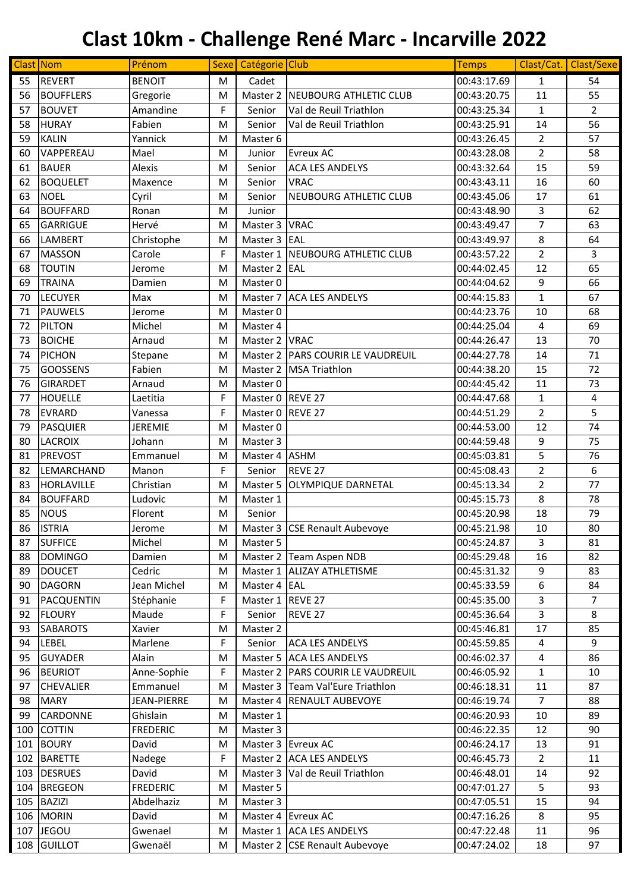| Clast Nom |                  | Prénom          |   | Sexe Catégorie Club |                                   | <b>Temps</b> |                | Clast/Cat. Clast/Sexe |
|-----------|------------------|-----------------|---|---------------------|-----------------------------------|--------------|----------------|-----------------------|
| 55        | <b>REVERT</b>    | <b>BENOIT</b>   | M | Cadet               |                                   | 00:43:17.69  | $\mathbf{1}$   | 54                    |
| 56        | <b>BOUFFLERS</b> | Gregorie        | M | Master 2            | NEUBOURG ATHLETIC CLUB            | 00:43:20.75  | 11             | 55                    |
| 57        | <b>BOUVET</b>    | Amandine        | F | Senior              | Val de Reuil Triathlon            | 00:43:25.34  | $\mathbf{1}$   | $\overline{2}$        |
| 58        | <b>HURAY</b>     | Fabien          | M | Senior              | Val de Reuil Triathlon            | 00:43:25.91  | 14             | 56                    |
| 59        | <b>KALIN</b>     | Yannick         | M | Master 6            |                                   | 00:43:26.45  | $\overline{2}$ | 57                    |
| 60        | VAPPEREAU        | Mael            | M | Junior              | <b>Evreux AC</b>                  | 00:43:28.08  | $\overline{2}$ | 58                    |
| 61        | <b>BAUER</b>     | Alexis          | M | Senior              | ACA LES ANDELYS                   | 00:43:32.64  | 15             | 59                    |
| 62        | <b>BOQUELET</b>  | Maxence         | M | Senior              | <b>VRAC</b>                       | 00:43:43.11  | 16             | 60                    |
| 63        | <b>NOEL</b>      | Cyril           | M | Senior              | <b>NEUBOURG ATHLETIC CLUB</b>     | 00:43:45.06  | 17             | 61                    |
| 64        | <b>BOUFFARD</b>  | Ronan           | M | Junior              |                                   | 00:43:48.90  | 3              | 62                    |
| 65        | <b>GARRIGUE</b>  | Hervé           | M | Master 3            | <b>VRAC</b>                       | 00:43:49.47  | $\overline{7}$ | 63                    |
| 66        | LAMBERT          | Christophe      | M | Master 3            | EAL                               | 00:43:49.97  | 8              | 64                    |
| 67        | <b>MASSON</b>    | Carole          | F | Master 1            | <b>NEUBOURG ATHLETIC CLUB</b>     | 00:43:57.22  | $\overline{2}$ | 3                     |
| 68        | <b>TOUTIN</b>    | Jerome          | M | Master 2            | EAL                               | 00:44:02.45  | 12             | 65                    |
| 69        | <b>TRAINA</b>    | Damien          | M | Master 0            |                                   | 00:44:04.62  | 9              | 66                    |
| 70        | <b>LECUYER</b>   | Max             | M | Master 7            | <b>ACA LES ANDELYS</b>            | 00:44:15.83  | $\mathbf{1}$   | 67                    |
| 71        | <b>PAUWELS</b>   | Jerome          | M | Master 0            |                                   | 00:44:23.76  | 10             | 68                    |
| 72        | <b>PILTON</b>    | Michel          | M | Master 4            |                                   | 00:44:25.04  | 4              | 69                    |
| 73        | <b>BOICHE</b>    | Arnaud          | M | Master 2            | <b>VRAC</b>                       | 00:44:26.47  | 13             | 70                    |
| 74        | <b>PICHON</b>    | Stepane         | M | Master 2            | <b>PARS COURIR LE VAUDREUIL</b>   | 00:44:27.78  | 14             | 71                    |
| 75        | <b>GOOSSENS</b>  | Fabien          | M | Master 2            | <b>MSA Triathlon</b>              | 00:44:38.20  | 15             | 72                    |
| 76        | <b>GIRARDET</b>  | Arnaud          | M | Master 0            |                                   | 00:44:45.42  | 11             | 73                    |
| 77        | <b>HOUELLE</b>   | Laetitia        | F | Master 0            | REVE 27                           | 00:44:47.68  | $\mathbf{1}$   | 4                     |
| 78        | <b>EVRARD</b>    | Vanessa         | F | Master 0            | REVE 27                           | 00:44:51.29  | $\overline{2}$ | 5                     |
| 79        | <b>PASQUIER</b>  | <b>JEREMIE</b>  | M | Master 0            |                                   | 00:44:53.00  | 12             | 74                    |
| 80        | <b>LACROIX</b>   | Johann          | M | Master 3            |                                   | 00:44:59.48  | 9              | 75                    |
| 81        | <b>PREVOST</b>   | Emmanuel        | M | Master 4            | <b>ASHM</b>                       | 00:45:03.81  | 5              | 76                    |
| 82        | LEMARCHAND       | Manon           | F | Senior              | REVE 27                           | 00:45:08.43  | $\overline{2}$ | 6                     |
| 83        | HORLAVILLE       | Christian       | M | Master 5            | <b>OLYMPIQUE DARNETAL</b>         | 00:45:13.34  | $\overline{2}$ | 77                    |
| 84        | <b>BOUFFARD</b>  | Ludovic         | M | Master 1            |                                   | 00:45:15.73  | 8              | 78                    |
| 85        | <b>NOUS</b>      | Florent         | M | Senior              |                                   | 00:45:20.98  | 18             | 79                    |
| 86        | <b>ISTRIA</b>    | Jerome          | M |                     | Master 3 CSE Renault Aubevoye     | 00:45:21.98  | 10             | 80                    |
| 87        | <b>SUFFICE</b>   | Michel          | M | Master 5            |                                   | 00:45:24.87  | 3              | 81                    |
| 88        | <b>DOMINGO</b>   | Damien          | M |                     | Master 2 Team Aspen NDB           | 00:45:29.48  | 16             | 82                    |
| 89        | <b>DOUCET</b>    | Cedric          | M |                     | Master 1 ALIZAY ATHLETISME        | 00:45:31.32  | 9              | 83                    |
| 90        | <b>DAGORN</b>    | Jean Michel     | M | Master 4            | EAL                               | 00:45:33.59  | 6              | 84                    |
| 91        | PACQUENTIN       | Stéphanie       | F | Master 1 REVE 27    |                                   | 00:45:35.00  | 3              | $\overline{7}$        |
| 92        | <b>FLOURY</b>    | Maude           | F | Senior              | REVE 27                           | 00:45:36.64  | 3              | 8                     |
| 93        | <b>SABAROTS</b>  | Xavier          | M | Master 2            |                                   | 00:45:46.81  | 17             | 85                    |
| 94        | <b>LEBEL</b>     | Marlene         | F | Senior              | <b>ACA LES ANDELYS</b>            | 00:45:59.85  | 4              | 9                     |
| 95        | <b>GUYADER</b>   | Alain           | M |                     | Master 5 ACA LES ANDELYS          | 00:46:02.37  | 4              | 86                    |
| 96        | <b>BEURIOT</b>   | Anne-Sophie     | F |                     | Master 2 PARS COURIR LE VAUDREUIL | 00:46:05.92  | 1              | 10                    |
| 97        | <b>CHEVALIER</b> | Emmanuel        | M |                     | Master 3 Team Val'Eure Triathlon  | 00:46:18.31  | 11             | 87                    |
| 98        | <b>MARY</b>      | JEAN-PIERRE     | M |                     | Master 4 RENAULT AUBEVOYE         | 00:46:19.74  | $\overline{7}$ | 88                    |
| 99        | <b>CARDONNE</b>  | Ghislain        | M | Master 1            |                                   | 00:46:20.93  | 10             | 89                    |
| 100       | <b>COTTIN</b>    | <b>FREDERIC</b> | M | Master 3            |                                   | 00:46:22.35  | 12             | 90                    |
|           | 101 BOURY        | David           | M |                     | Master 3 Evreux AC                | 00:46:24.17  | 13             | 91                    |
|           | 102 BARETTE      | Nadege          | F |                     | Master 2 ACA LES ANDELYS          | 00:46:45.73  | $\overline{2}$ | 11                    |
|           | 103 DESRUES      | David           | M |                     | Master 3   Val de Reuil Triathlon | 00:46:48.01  | 14             | 92                    |
| 104       | <b>BREGEON</b>   | <b>FREDERIC</b> | M | Master 5            |                                   | 00:47:01.27  | 5              | 93                    |
|           | 105 BAZIZI       | Abdelhaziz      | M | Master 3            |                                   | 00:47:05.51  | 15             | 94                    |
|           | 106 MORIN        | David           | M |                     | Master 4 Evreux AC                | 00:47:16.26  | 8              | 95                    |
|           | 107 JEGOU        | Gwenael         | M |                     | Master 1 ACA LES ANDELYS          | 00:47:22.48  | 11             | 96                    |
|           | 108 GUILLOT      | Gwenaël         | M |                     | Master 2 CSE Renault Aubevoye     | 00:47:24.02  | 18             | 97                    |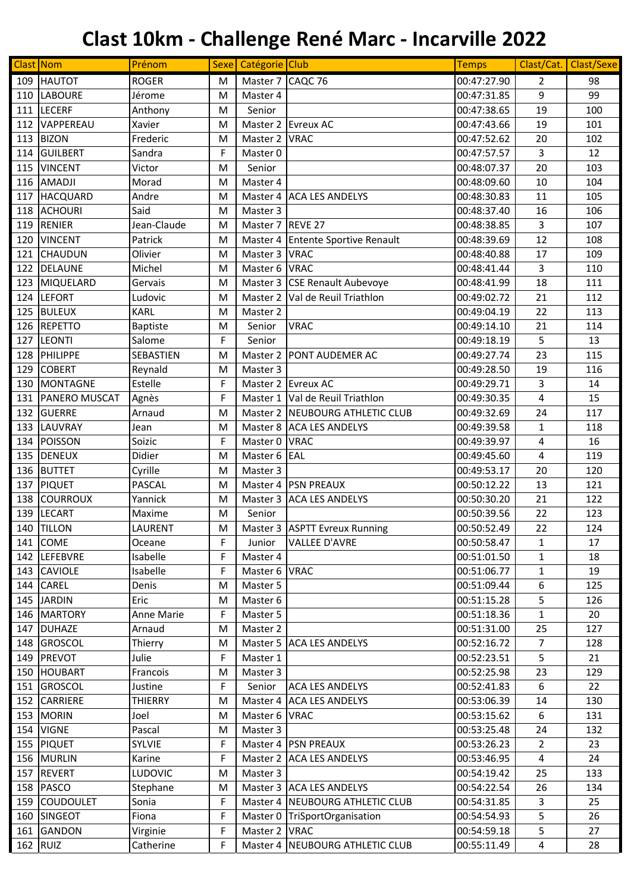|     | Clast Nom            | Prénom          |             | Sexe Catégorie Club |                                   | <b>Temps</b> | Clast/Cat.     | Clast/Sexe |
|-----|----------------------|-----------------|-------------|---------------------|-----------------------------------|--------------|----------------|------------|
| 109 | <b>HAUTOT</b>        | <b>ROGER</b>    | M           | Master 7            | CAQC 76                           | 00:47:27.90  | 2              | 98         |
| 110 | <b>LABOURE</b>       | Jérome          | M           | Master 4            |                                   | 00:47:31.85  | 9              | 99         |
|     | 111 LECERF           | Anthony         | M           | Senior              |                                   | 00:47:38.65  | 19             | 100        |
| 112 | VAPPEREAU            | Xavier          | M           | Master 2            | <b>Evreux AC</b>                  | 00:47:43.66  | 19             | 101        |
| 113 | <b>BIZON</b>         | Frederic        | M           | Master 2            | <b>VRAC</b>                       | 00:47:52.62  | 20             | 102        |
| 114 | GUILBERT             | Sandra          | F           | Master 0            |                                   | 00:47:57.57  | 3              | 12         |
| 115 | <b>VINCENT</b>       | Victor          | M           | Senior              |                                   | 00:48:07.37  | 20             | 103        |
| 116 | <b>AMADJI</b>        | Morad           | M           | Master 4            |                                   | 00:48:09.60  | 10             | 104        |
| 117 | HACQUARD             | Andre           | M           | Master 4            | <b>ACA LES ANDELYS</b>            | 00:48:30.83  | 11             | 105        |
|     | 118 ACHOURI          | Said            | M           | Master 3            |                                   | 00:48:37.40  | 16             | 106        |
| 119 | RENIER               | Jean-Claude     | M           | Master 7            | REVE 27                           | 00:48:38.85  | 3              | 107        |
| 120 | <b>VINCENT</b>       | Patrick         | M           | Master 4            | <b>Entente Sportive Renault</b>   | 00:48:39.69  | 12             | 108        |
| 121 | <b>CHAUDUN</b>       | Olivier         | M           | Master 3            | <b>VRAC</b>                       | 00:48:40.88  | 17             | 109        |
| 122 | DELAUNE              | Michel          | M           | Master 6            | <b>VRAC</b>                       | 00:48:41.44  | 3              | 110        |
| 123 | MIQUELARD            | Gervais         | M           | Master 3            | <b>CSE Renault Aubevoye</b>       | 00:48:41.99  | 18             | 111        |
| 124 | LEFORT               | Ludovic         | M           | Master 2            | Val de Reuil Triathlon            | 00:49:02.72  | 21             | 112        |
| 125 | <b>BULEUX</b>        | <b>KARL</b>     | M           | Master 2            |                                   | 00:49:04.19  | 22             | 113        |
|     | 126 REPETTO          | <b>Baptiste</b> | M           | Senior              | <b>VRAC</b>                       | 00:49:14.10  | 21             | 114        |
| 127 | <b>LEONTI</b>        | Salome          | F           | Senior              |                                   | 00:49:18.19  | 5              | 13         |
| 128 | PHILIPPE             | SEBASTIEN       | M           | Master 2            | <b>PONT AUDEMER AC</b>            | 00:49:27.74  | 23             | 115        |
| 129 | <b>COBERT</b>        | Reynald         | M           | Master 3            |                                   | 00:49:28.50  | 19             | 116        |
| 130 | <b>MONTAGNE</b>      | Estelle         | F           | Master 2            | <b>Evreux AC</b>                  | 00:49:29.71  | 3              | 14         |
|     |                      |                 |             |                     |                                   |              |                |            |
| 131 | <b>PANERO MUSCAT</b> | Agnès           | F           |                     | Master 1   Val de Reuil Triathlon | 00:49:30.35  | $\pmb{4}$      | 15         |
| 132 | GUERRE               | Arnaud          | M           |                     | Master 2 NEUBOURG ATHLETIC CLUB   | 00:49:32.69  | 24             | 117        |
|     | 133 LAUVRAY          | Jean            | M           |                     | Master 8 ACA LES ANDELYS          | 00:49:39.58  | 1              | 118        |
| 134 | POISSON              | Soizic          | F           | Master 0            | <b>VRAC</b>                       | 00:49:39.97  | 4              | 16         |
| 135 | <b>DENEUX</b>        | Didier          | M           | Master 6            | EAL                               | 00:49:45.60  | 4              | 119        |
| 136 | <b>BUTTET</b>        | Cyrille         | M           | Master 3            |                                   | 00:49:53.17  | 20             | 120        |
| 137 | PIQUET               | <b>PASCAL</b>   | M           | Master 4            | <b>PSN PREAUX</b>                 | 00:50:12.22  | 13             | 121        |
| 138 | <b>COURROUX</b>      | Yannick         | M           | Master 3            | <b>ACA LES ANDELYS</b>            | 00:50:30.20  | 21             | 122        |
| 139 | LECART               | Maxime          | M           | Senior              |                                   | 00:50:39.56  | 22             | 123        |
|     | 140 TILLON           | <b>LAURENT</b>  | M           |                     | Master 3 ASPTT Evreux Running     | 00:50:52.49  | 22             | 124        |
|     | 141 COME             | Oceane          | F           | Junior              | <b>VALLEE D'AVRE</b>              | 00:50:58.47  | $\mathbf{1}$   | 17         |
|     | 142 LEFEBVRE         | Isabelle        | F           | Master 4            |                                   | 00:51:01.50  | $\mathbf 1$    | 18         |
|     | 143 CAVIOLE          | Isabelle        | F           | Master 6 VRAC       |                                   | 00:51:06.77  | 1              | 19         |
|     | 144 CAREL            | Denis           | M           | Master 5            |                                   | 00:51:09.44  | 6              | 125        |
|     | 145 JARDIN           | Eric            | M           | Master 6            |                                   | 00:51:15.28  | 5              | 126        |
|     | 146 MARTORY          | Anne Marie      | F           | Master 5            |                                   | 00:51:18.36  | 1              | 20         |
|     | 147 DUHAZE           | Arnaud          | M           | Master 2            |                                   | 00:51:31.00  | 25             | 127        |
|     | 148 GROSCOL          | Thierry         | M           | Master 5            | <b>ACA LES ANDELYS</b>            | 00:52:16.72  | $\overline{7}$ | 128        |
|     | 149 PREVOT           | Julie           | F           | Master 1            |                                   | 00:52:23.51  | 5              | 21         |
|     | 150 HOUBART          | Francois        | M           | Master 3            |                                   | 00:52:25.98  | 23             | 129        |
|     | 151 GROSCOL          | Justine         | F.          | Senior              | <b>ACA LES ANDELYS</b>            | 00:52:41.83  | 6              | 22         |
|     | 152 CARRIERE         | <b>THIERRY</b>  | M           | Master 4            | <b>ACA LES ANDELYS</b>            | 00:53:06.39  | 14             | 130        |
|     | 153 MORIN            | Joel            | M           | Master 6 VRAC       |                                   | 00:53:15.62  | 6              | 131        |
|     | 154 VIGNE            | Pascal          | M           | Master 3            |                                   | 00:53:25.48  | 24             | 132        |
|     | 155 PIQUET           | <b>SYLVIE</b>   | $\mathsf F$ |                     | Master 4 PSN PREAUX               | 00:53:26.23  | $\overline{2}$ | 23         |
|     | 156 MURLIN           | Karine          | F           | Master 2            | <b>ACA LES ANDELYS</b>            | 00:53:46.95  | 4              | 24         |
|     | 157 REVERT           | LUDOVIC         | M           | Master 3            |                                   | 00:54:19.42  | 25             | 133        |
|     | 158 PASCO            | Stephane        | M           |                     | Master 3 ACA LES ANDELYS          | 00:54:22.54  | 26             | 134        |
|     | 159 COUDOULET        | Sonia           | F           |                     | Master 4   NEUBOURG ATHLETIC CLUB | 00:54:31.85  | 3              | 25         |
|     | 160 SINGEOT          | Fiona           | F           |                     | Master 0 TriSportOrganisation     | 00:54:54.93  | 5              | 26         |
|     | 161 GANDON           | Virginie        | F           | Master 2 VRAC       |                                   | 00:54:59.18  | 5              | 27         |
|     | 162 RUIZ             | Catherine       | $\mathsf F$ | Master 4            | NEUBOURG ATHLETIC CLUB            | 00:55:11.49  | $\overline{4}$ | 28         |